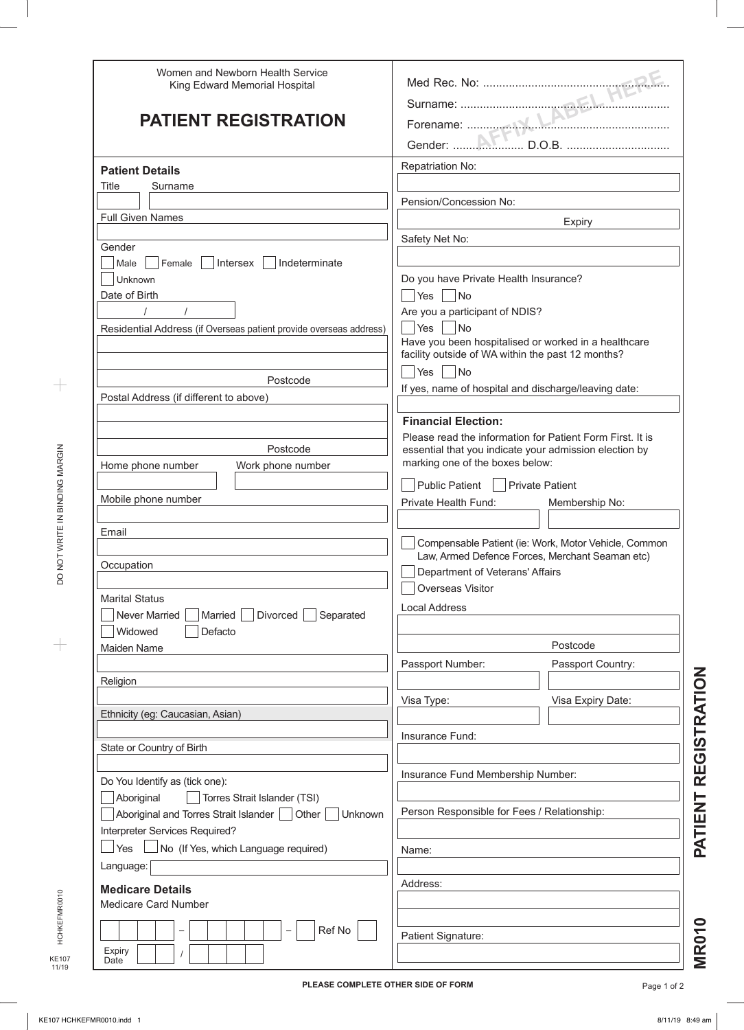| Women and Newborn Health Service<br>King Edward Memorial Hospital  |                                                                                                           |                                                      |
|--------------------------------------------------------------------|-----------------------------------------------------------------------------------------------------------|------------------------------------------------------|
|                                                                    |                                                                                                           |                                                      |
| <b>PATIENT REGISTRATION</b>                                        |                                                                                                           |                                                      |
|                                                                    |                                                                                                           |                                                      |
| <b>Patient Details</b>                                             | Repatriation No:                                                                                          |                                                      |
| Title<br>Surname                                                   |                                                                                                           |                                                      |
|                                                                    | Pension/Concession No:                                                                                    |                                                      |
| <b>Full Given Names</b>                                            |                                                                                                           |                                                      |
|                                                                    | <b>Expiry</b>                                                                                             |                                                      |
| Gender                                                             | Safety Net No:                                                                                            |                                                      |
| Male   Female   Intersex   Indeterminate                           |                                                                                                           |                                                      |
| Unknown                                                            | Do you have Private Health Insurance?                                                                     |                                                      |
| Date of Birth                                                      | Yes No                                                                                                    |                                                      |
|                                                                    | Are you a participant of NDIS?                                                                            |                                                      |
| Residential Address (if Overseas patient provide overseas address) | Yes    No                                                                                                 |                                                      |
|                                                                    | Have you been hospitalised or worked in a healthcare<br>facility outside of WA within the past 12 months? |                                                      |
|                                                                    | $ Yes $ $ No$                                                                                             |                                                      |
| Postcode                                                           | If yes, name of hospital and discharge/leaving date:                                                      |                                                      |
| Postal Address (if different to above)                             |                                                                                                           |                                                      |
|                                                                    | <b>Financial Election:</b>                                                                                |                                                      |
|                                                                    | Please read the information for Patient Form First. It is                                                 |                                                      |
| Postcode                                                           | essential that you indicate your admission election by                                                    |                                                      |
| Home phone number<br>Work phone number                             | marking one of the boxes below:                                                                           |                                                      |
|                                                                    | Public Patient   Private Patient                                                                          |                                                      |
| Mobile phone number                                                | Private Health Fund:                                                                                      | Membership No:                                       |
|                                                                    |                                                                                                           |                                                      |
| Email                                                              |                                                                                                           | Compensable Patient (ie: Work, Motor Vehicle, Common |
| Occupation                                                         | Law, Armed Defence Forces, Merchant Seaman etc)<br>Department of Veterans' Affairs                        |                                                      |
|                                                                    | Overseas Visitor                                                                                          |                                                      |
| <b>Marital Status</b>                                              |                                                                                                           |                                                      |
| Never Married<br>Married<br>Divorced<br>Separated                  | <b>Local Address</b>                                                                                      |                                                      |
| Widowed<br>Defacto                                                 |                                                                                                           |                                                      |
| Maiden Name                                                        |                                                                                                           | Postcode                                             |
|                                                                    | Passport Number:                                                                                          | Passport Country:                                    |
| Religion                                                           |                                                                                                           |                                                      |
|                                                                    | Visa Type:                                                                                                | Visa Expiry Date:                                    |
| Ethnicity (eg: Caucasian, Asian)                                   |                                                                                                           |                                                      |
|                                                                    | Insurance Fund:                                                                                           |                                                      |
| State or Country of Birth                                          |                                                                                                           |                                                      |
|                                                                    | Insurance Fund Membership Number:                                                                         |                                                      |
| Do You Identify as (tick one):                                     |                                                                                                           |                                                      |
| Aboriginal<br>Torres Strait Islander (TSI)                         |                                                                                                           |                                                      |
| Aboriginal and Torres Strait Islander   Other<br>Unknown           | Person Responsible for Fees / Relationship:                                                               |                                                      |
| Interpreter Services Required?                                     |                                                                                                           |                                                      |
| $\rfloor$ Yes<br>No (If Yes, which Language required)              | Name:                                                                                                     |                                                      |
| Language:                                                          |                                                                                                           |                                                      |
|                                                                    | Address:                                                                                                  |                                                      |
| <b>Medicare Details</b>                                            |                                                                                                           |                                                      |
| Medicare Card Number                                               |                                                                                                           |                                                      |
|                                                                    |                                                                                                           |                                                      |
| Ref No<br>-<br>Expiry                                              | Patient Signature:                                                                                        |                                                      |

 $\begin{array}{c} + \end{array}$ 

 $\qquad \qquad +$